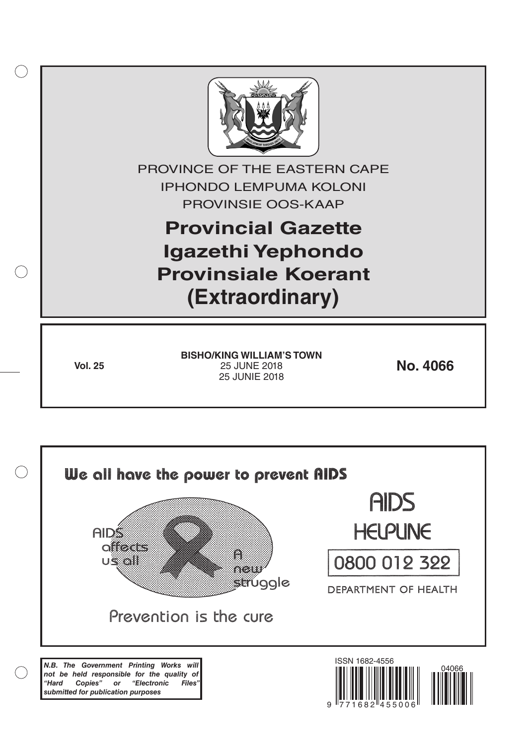

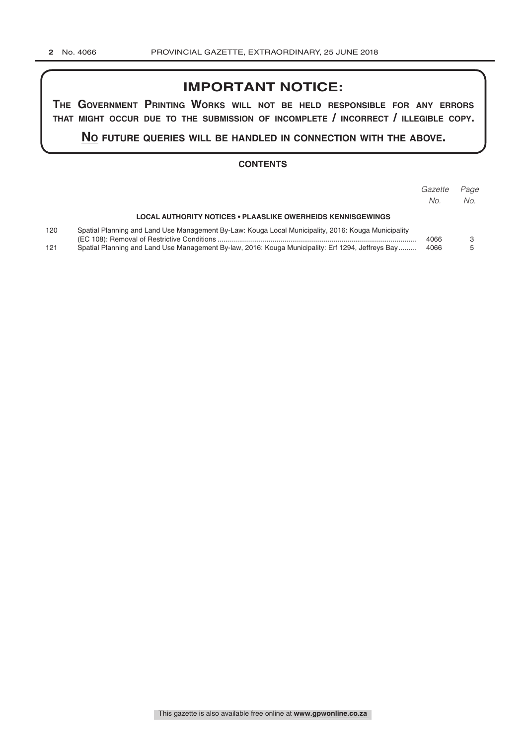# **IMPORTANT NOTICE:**

**The GovernmenT PrinTinG Works Will noT be held resPonsible for any errors ThaT miGhT occur due To The submission of incomPleTe / incorrecT / illeGible coPy.**

**no fuTure queries Will be handled in connecTion WiTh The above.**

### **CONTENTS**

|     |                                                                                                     | Gazette<br>No. | Page<br>No. |
|-----|-----------------------------------------------------------------------------------------------------|----------------|-------------|
|     | LOCAL AUTHORITY NOTICES • PLAASLIKE OWERHEIDS KENNISGEWINGS                                         |                |             |
| 120 | Spatial Planning and Land Use Management By-Law: Kouga Local Municipality, 2016: Kouga Municipality | 4066           |             |
| 121 | Spatial Planning and Land Use Management By-law, 2016: Kouga Municipality: Erf 1294, Jeffreys Bay   | 4066           |             |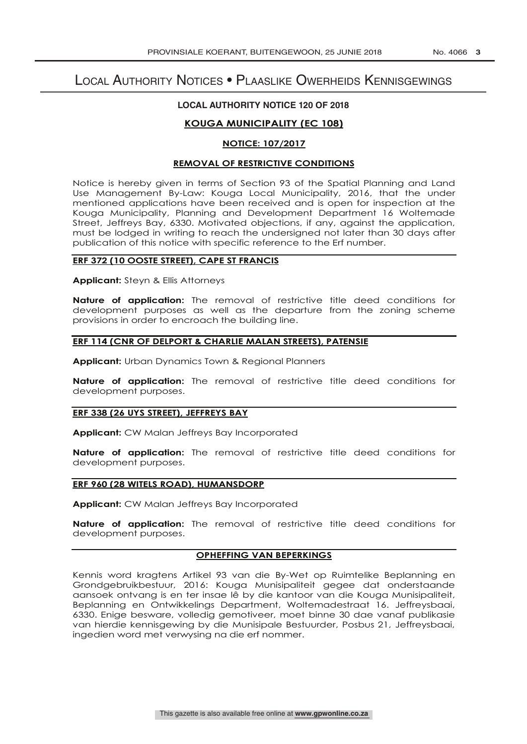# Local Authority Notices • Plaaslike Owerheids Kennisgewings

#### **LOCAL AUTHORITY NOTICE 120 OF 2018**

### **KOUGA MUNICIPALITY (EC 108)**

#### **NOTICE: 107/2017**

### **REMOVAL OF RESTRICTIVE CONDITIONS**

Notice is hereby given in terms of Section 93 of the Spatial Planning and Land Use Management By-Law: Kouga Local Municipality, 2016, that the under mentioned applications have been received and is open for inspection at the Kouga Municipality, Planning and Development Department 16 Woltemade Street, Jeffreys Bay, 6330. Motivated objections, if any, against the application, must be lodged in writing to reach the undersigned not later than 30 days after publication of this notice with specific reference to the Erf number.

#### **ERF 372 (10 OOSTE STREET), CAPE ST FRANCIS**

**Applicant:** Steyn & Ellis Attorneys

**Nature of application:** The removal of restrictive title deed conditions for development purposes as well as the departure from the zoning scheme provisions in order to encroach the building line.

#### **ERF 114 (CNR OF DELPORT & CHARLIE MALAN STREETS), PATENSIE**

**Applicant:** Urban Dynamics Town & Regional Planners

**Nature of application:** The removal of restrictive title deed conditions for development purposes.

#### **ERF 338 (26 UYS STREET), JEFFREYS BAY**

**Applicant:** CW Malan Jeffreys Bay Incorporated

**Nature of application:** The removal of restrictive title deed conditions for development purposes.

#### **ERF 960 (28 WITELS ROAD), HUMANSDORP**

**Applicant:** CW Malan Jeffreys Bay Incorporated

**Nature of application:** The removal of restrictive title deed conditions for development purposes.

#### **OPHEFFING VAN BEPERKINGS**

Kennis word kragtens Artikel 93 van die By-Wet op Ruimtelike Beplanning en Grondgebruikbestuur, 2016: Kouga Munisipaliteit gegee dat onderstaande aansoek ontvang is en ter insae lê by die kantoor van die Kouga Munisipaliteit, Beplanning en Ontwikkelings Department, Woltemadestraat 16. Jeffreysbaai, 6330. Enige besware, volledig gemotiveer, moet binne 30 dae vanaf publikasie van hierdie kennisgewing by die Munisipale Bestuurder, Posbus 21, Jeffreysbaai, ingedien word met verwysing na die erf nommer.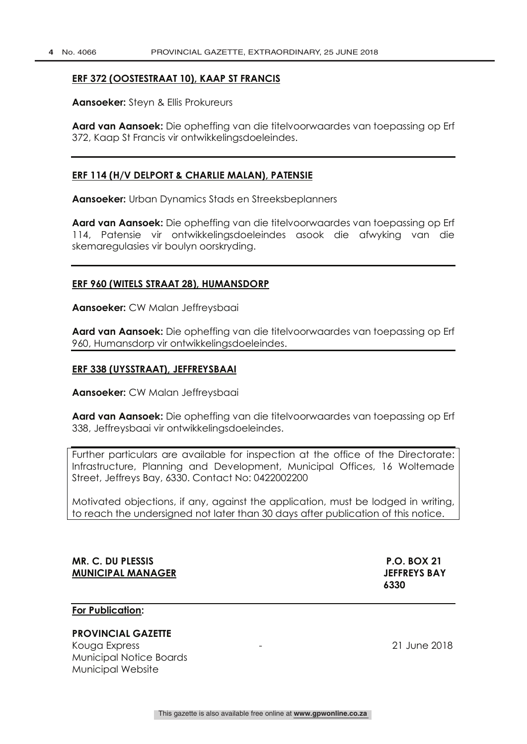### **ERF 372 (OOSTESTRAAT 10), KAAP ST FRANCIS**

**Aansoeker:** Steyn & Ellis Prokureurs

**Aard van Aansoek:** Die opheffing van die titelvoorwaardes van toepassing op Erf 372, Kaap St Francis vir ontwikkelingsdoeleindes.

### **ERF 114 (H/V DELPORT & CHARLIE MALAN), PATENSIE**

**Aansoeker:** Urban Dynamics Stads en Streeksbeplanners

**Aard van Aansoek:** Die opheffing van die titelvoorwaardes van toepassing op Erf 114, Patensie vir ontwikkelingsdoeleindes asook die afwyking van die skemaregulasies vir boulyn oorskryding.

#### **ERF 960 (WITELS STRAAT 28), HUMANSDORP**

**Aansoeker:** CW Malan Jeffreysbaai

**Aard van Aansoek:** Die opheffing van die titelvoorwaardes van toepassing op Erf 960, Humansdorp vir ontwikkelingsdoeleindes.

#### **ERF 338 (UYSSTRAAT), JEFFREYSBAAI**

**Aansoeker:** CW Malan Jeffreysbaai

**Aard van Aansoek:** Die opheffing van die titelvoorwaardes van toepassing op Erf 338, Jeffreysbaai vir ontwikkelingsdoeleindes.

Further particulars are available for inspection at the office of the Directorate: Infrastructure, Planning and Development, Municipal Offices, 16 Woltemade Street, Jeffreys Bay, 6330. Contact No: 0422002200

Motivated objections, if any, against the application, must be lodged in writing, to reach the undersigned not later than 30 days after publication of this notice.

### **MR. C. DU PLESSIS P.O. BOX 21 MUNICIPAL MANAGER JEFFREYS BAY**

 **6330**

#### **For Publication:**

# **PROVINCIAL GAZETTE**

Kouga Express and the contract of the contract of the contract of the contract of the contract of the contract of the contract of the contract of the contract of the contract of the contract of the contract of the contract Municipal Notice Boards Municipal Website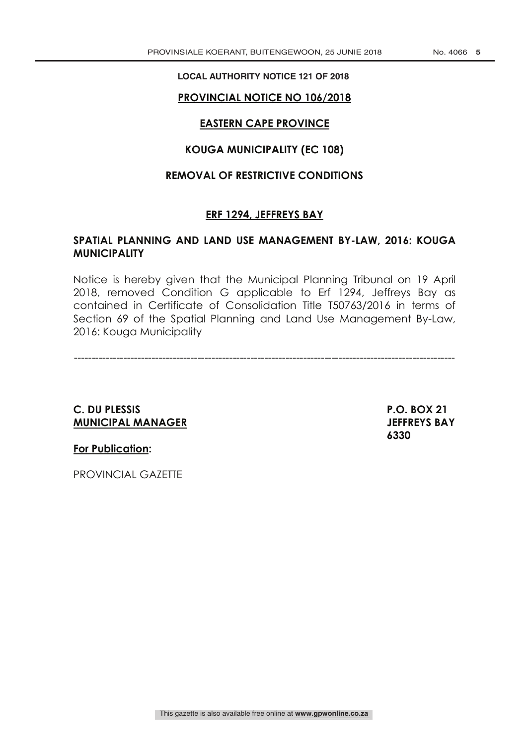### **LOCAL AUTHORITY NOTICE 121 OF 2018**

# **PROVINCIAL NOTICE NO 106/2018**

# **EASTERN CAPE PROVINCE**

## **KOUGA MUNICIPALITY (EC 108)**

## **REMOVAL OF RESTRICTIVE CONDITIONS**

# **ERF 1294, JEFFREYS BAY**

# **SPATIAL PLANNING AND LAND USE MANAGEMENT BY-LAW, 2016: KOUGA MUNICIPALITY**

Notice is hereby given that the Municipal Planning Tribunal on 19 April 2018, removed Condition G applicable to Erf 1294, Jeffreys Bay as contained in Certificate of Consolidation Title T50763/2016 in terms of Section 69 of the Spatial Planning and Land Use Management By-Law, 2016: Kouga Municipality

------------------------------------------------------------------------------------------------------------

# **C. DU PLESSIS P.O. BOX 21 MUNICIPAL MANAGER JEFFREYS BAY**

 **6330**

**For Publication:** 

PROVINCIAL GAZETTE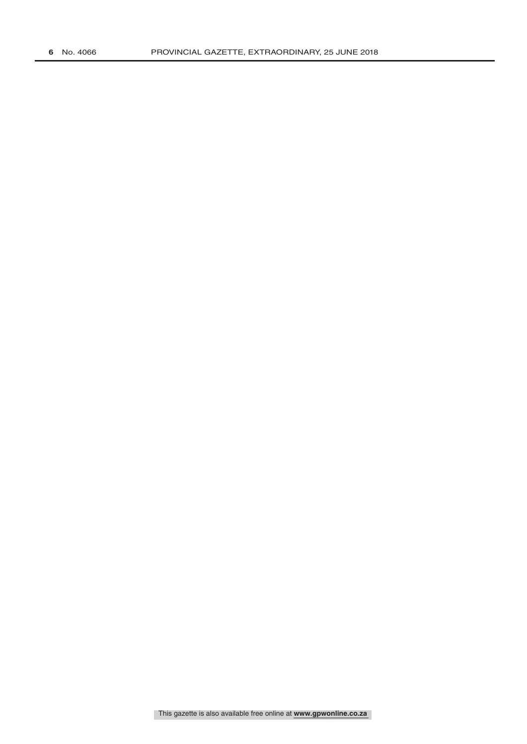This gazette is also available free online at **www.gpwonline.co.za**